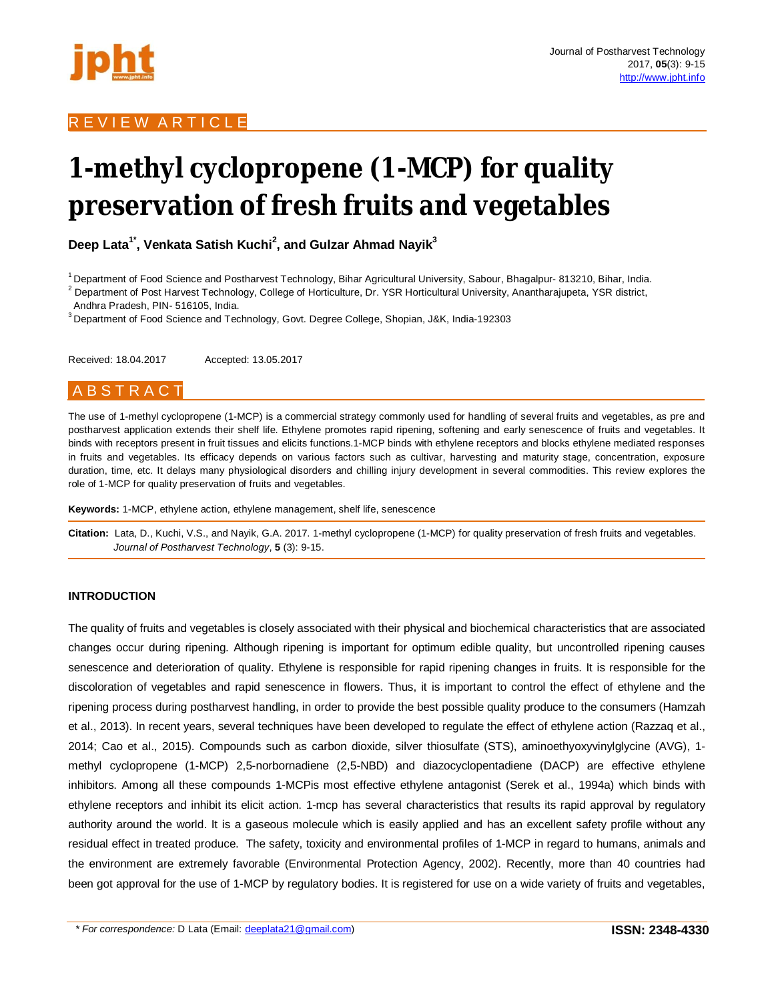

# **1-methyl cyclopropene (1-MCP) for quality preservation of fresh fruits and vegetables**

**Deep Lata1\* , Venkata Satish Kuchi<sup>2</sup> , and Gulzar Ahmad Nayik<sup>3</sup>**

<sup>1</sup> Department of Food Science and Postharvest Technology, Bihar Agricultural University, Sabour, Bhagalpur- 813210, Bihar, India.

 $2$  Department of Post Harvest Technology, College of Horticulture, Dr. YSR Horticultural University, Anantharajupeta, YSR district, Andhra Pradesh, PIN- 516105, India.

<sup>3</sup> Department of Food Science and Technology, Govt. Degree College, Shopian, J&K, India-192303

Received: 18.04.2017 Accepted: 13.05.2017

# A B S T R A C T

The use of 1-methyl cyclopropene (1-MCP) is a commercial strategy commonly used for handling of several fruits and vegetables, as pre and postharvest application extends their shelf life. Ethylene promotes rapid ripening, softening and early senescence of fruits and vegetables. It binds with receptors present in fruit tissues and elicits functions.1-MCP binds with ethylene receptors and blocks ethylene mediated responses in fruits and vegetables. Its efficacy depends on various factors such as cultivar, harvesting and maturity stage, concentration, exposure duration, time, etc. It delays many physiological disorders and chilling injury development in several commodities. This review explores the role of 1-MCP for quality preservation of fruits and vegetables.

**Keywords:** 1-MCP, ethylene action, ethylene management, shelf life, senescence

**Citation:** Lata, D., Kuchi, V.S., and Nayik, G.A. 2017. 1-methyl cyclopropene (1-MCP) for quality preservation of fresh fruits and vegetables. *Journal of Postharvest Technology*, **5** (3): 9-15.

## **INTRODUCTION**

The quality of fruits and vegetables is closely associated with their physical and biochemical characteristics that are associated changes occur during ripening. Although ripening is important for optimum edible quality, but uncontrolled ripening causes senescence and deterioration of quality. Ethylene is responsible for rapid ripening changes in fruits. It is responsible for the discoloration of vegetables and rapid senescence in flowers. Thus, it is important to control the effect of ethylene and the ripening process during postharvest handling, in order to provide the best possible quality produce to the consumers (Hamzah et al., 2013). In recent years, several techniques have been developed to regulate the effect of ethylene action (Razzaq et al., 2014; Cao et al., 2015). Compounds such as carbon dioxide, silver thiosulfate (STS), aminoethyoxyvinylglycine (AVG), 1 methyl cyclopropene (1-MCP) 2,5-norbornadiene (2,5-NBD) and diazocyclopentadiene (DACP) are effective ethylene inhibitors. Among all these compounds 1-MCPis most effective ethylene antagonist (Serek et al., 1994a) which binds with ethylene receptors and inhibit its elicit action. 1-mcp has several characteristics that results its rapid approval by regulatory authority around the world. It is a gaseous molecule which is easily applied and has an excellent safety profile without any residual effect in treated produce. The safety, toxicity and environmental profiles of 1-MCP in regard to humans, animals and the environment are extremely favorable (Environmental Protection Agency, 2002). Recently, more than 40 countries had been got approval for the use of 1-MCP by regulatory bodies. It is registered for use on a wide variety of fruits and vegetables,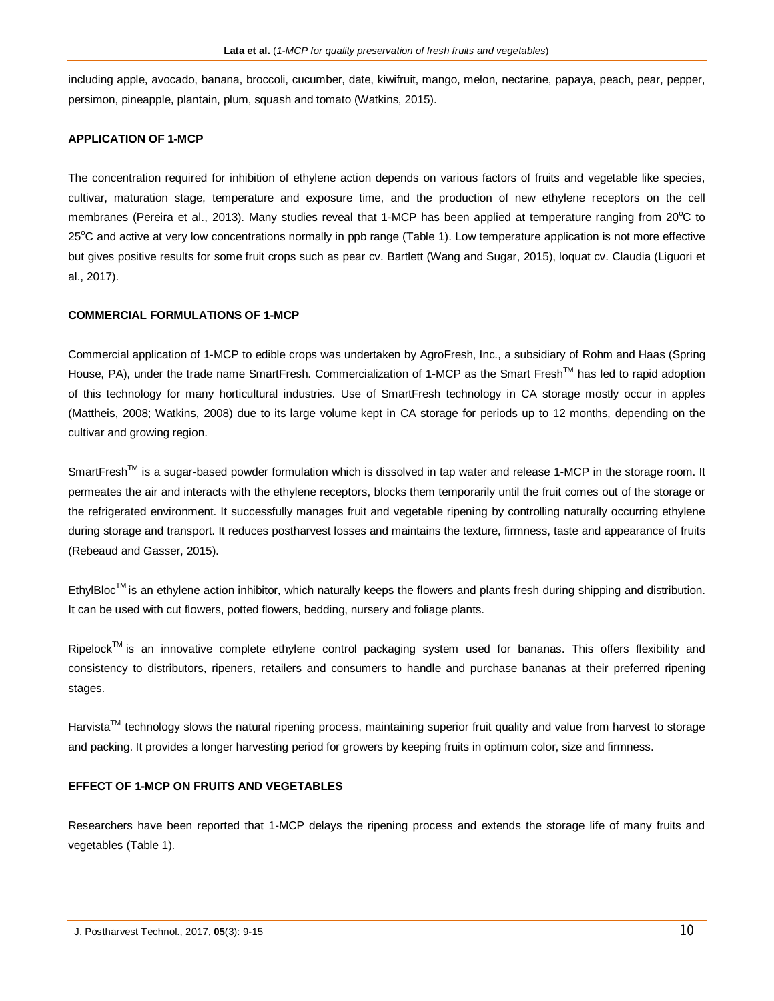including apple, avocado, banana, broccoli, cucumber, date, kiwifruit, mango, melon, nectarine, papaya, peach, pear, pepper, persimon, pineapple, plantain, plum, squash and tomato (Watkins, 2015).

## **APPLICATION OF 1-MCP**

The concentration required for inhibition of ethylene action depends on various factors of fruits and vegetable like species, cultivar, maturation stage, temperature and exposure time, and the production of new ethylene receptors on the cell membranes (Pereira et al., 2013). Many studies reveal that 1-MCP has been applied at temperature ranging from  $20^{\circ}$ C to 25°C and active at very low concentrations normally in ppb range (Table 1). Low temperature application is not more effective but gives positive results for some fruit crops such as pear cv. Bartlett (Wang and Sugar, 2015), loquat cv. Claudia (Liguori et al., 2017).

## **COMMERCIAL FORMULATIONS OF 1-MCP**

Commercial application of 1-MCP to edible crops was undertaken by AgroFresh, Inc., a subsidiary of Rohm and Haas (Spring House, PA), under the trade name SmartFresh. Commercialization of 1-MCP as the Smart Fresh™ has led to rapid adoption of this technology for many horticultural industries. Use of SmartFresh technology in CA storage mostly occur in apples (Mattheis, 2008; Watkins, 2008) due to its large volume kept in CA storage for periods up to 12 months, depending on the cultivar and growing region.

SmartFresh<sup>TM</sup> is a sugar-based powder formulation which is dissolved in tap water and release 1-MCP in the storage room. It permeates the air and interacts with the ethylene receptors, blocks them temporarily until the fruit comes out of the storage or the refrigerated environment. It successfully manages fruit and vegetable ripening by controlling naturally occurring ethylene during storage and transport. It reduces postharvest losses and maintains the texture, firmness, taste and appearance of fruits (Rebeaud and Gasser, 2015).

EthylBloc<sup>™</sup> is an ethylene action inhibitor, which naturally keeps the flowers and plants fresh during shipping and distribution. It can be used with cut flowers, potted flowers, bedding, nursery and foliage plants.

Ripelock<sup>TM</sup> is an innovative complete ethylene control packaging system used for bananas. This offers flexibility and consistency to distributors, ripeners, retailers and consumers to handle and purchase bananas at their preferred ripening stages.

Harvista<sup>™</sup> technology slows the natural ripening process, maintaining superior fruit quality and value from harvest to storage and packing. It provides a longer harvesting period for growers by keeping fruits in optimum color, size and firmness.

## **EFFECT OF 1-MCP ON FRUITS AND VEGETABLES**

Researchers have been reported that 1-MCP delays the ripening process and extends the storage life of many fruits and vegetables (Table 1).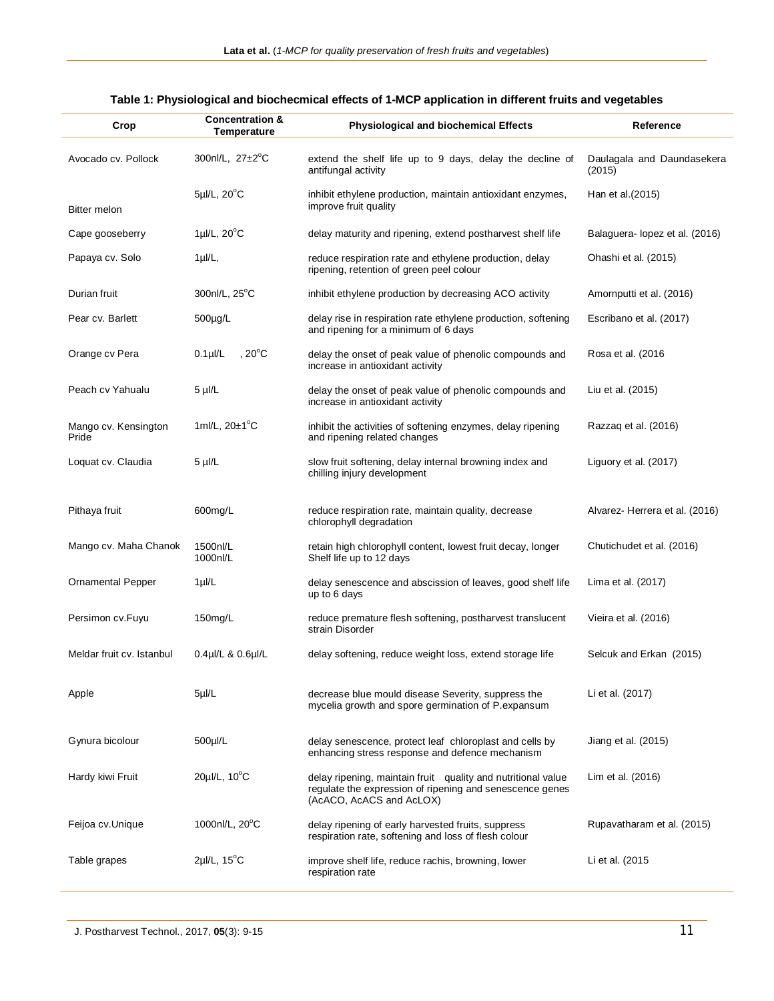| Crop                          | <b>Concentration &amp;</b><br>Temperature | <b>Physiological and biochemical Effects</b>                                                                                                         | Reference                            |
|-------------------------------|-------------------------------------------|------------------------------------------------------------------------------------------------------------------------------------------------------|--------------------------------------|
| Avocado cv. Pollock           | 300nl/L, $27\pm2^{\circ}C$                | extend the shelf life up to 9 days, delay the decline of<br>antifungal activity                                                                      | Daulagala and Daundasekera<br>(2015) |
| <b>Bitter melon</b>           | $5\mu$ I/L, $20^{\circ}$ C                | inhibit ethylene production, maintain antioxidant enzymes,<br>improve fruit quality                                                                  | Han et al. (2015)                    |
| Cape gooseberry               | $1 \mu$ I/L, $20^{\circ}$ C               | delay maturity and ripening, extend postharvest shelf life                                                                                           | Balaguera- lopez et al. (2016)       |
| Papaya cv. Solo               | $1 \mu I/L$                               | reduce respiration rate and ethylene production, delay<br>ripening, retention of green peel colour                                                   | Ohashi et al. (2015)                 |
| Durian fruit                  | 300nl/L, 25°C                             | inhibit ethylene production by decreasing ACO activity                                                                                               | Amornputti et al. (2016)             |
| Pear cv. Barlett              | 500µg/L                                   | delay rise in respiration rate ethylene production, softening<br>and ripening for a minimum of 6 days                                                | Escribano et al. (2017)              |
| Orange cv Pera                | , $20^{\circ}$ C<br>$0.1$ µ $/L$          | delay the onset of peak value of phenolic compounds and<br>increase in antioxidant activity                                                          | Rosa et al. (2016)                   |
| Peach cv Yahualu              | $5 \mu$ I/L                               | delay the onset of peak value of phenolic compounds and<br>increase in antioxidant activity                                                          | Liu et al. (2015)                    |
| Mango cv. Kensington<br>Pride | 1ml/L, $20\pm1^{\circ}C$                  | inhibit the activities of softening enzymes, delay ripening<br>and ripening related changes                                                          | Razzag et al. (2016)                 |
| Loquat cv. Claudia            | $5$ µl/L                                  | slow fruit softening, delay internal browning index and<br>chilling injury development                                                               | Liguory et al. (2017)                |
| Pithaya fruit                 | 600mg/L                                   | reduce respiration rate, maintain quality, decrease<br>chlorophyll degradation                                                                       | Alvarez- Herrera et al. (2016)       |
| Mango cv. Maha Chanok         | 1500nl/L<br>1000nl/L                      | retain high chlorophyll content, lowest fruit decay, longer<br>Shelf life up to 12 days                                                              | Chutichudet et al. (2016)            |
| <b>Ornamental Pepper</b>      | $1 \mu l/L$                               | delay senescence and abscission of leaves, good shelf life<br>up to 6 days                                                                           | Lima et al. (2017)                   |
| Persimon cv.Fuyu              | 150mg/L                                   | reduce premature flesh softening, postharvest translucent<br>strain Disorder                                                                         | Vieira et al. (2016)                 |
| Meldar fruit cv. Istanbul     | $0.4$ µl/L & $0.6$ µl/L                   | delay softening, reduce weight loss, extend storage life                                                                                             | Selcuk and Erkan (2015)              |
| Apple                         | 5µ/L                                      | decrease blue mould disease Severity, suppress the<br>mycelia growth and spore germination of P.expansum                                             | Li et al. (2017)                     |
| Gynura bicolour               | 500µl/L                                   | delay senescence, protect leaf chloroplast and cells by<br>enhancing stress response and defence mechanism                                           | Jiang et al. (2015)                  |
| Hardy kiwi Fruit              | 20µl/L, 10°C                              | delay ripening, maintain fruit quality and nutritional value<br>regulate the expression of ripening and senescence genes<br>(AcACO, AcACS and AcLOX) | Lim et al. (2016)                    |
| Feijoa cv.Unique              | 1000nl/L, $20^{\circ}$ C                  | delay ripening of early harvested fruits, suppress<br>respiration rate, softening and loss of flesh colour                                           | Rupavatharam et al. (2015)           |
| Table grapes                  | $2\mu$ I/L, 15 $^{\circ}$ C               | improve shelf life, reduce rachis, browning, lower<br>respiration rate                                                                               | Li et al. (2015                      |

# **Table 1: Physiological and biochecmical effects of 1-MCP application in different fruits and vegetables**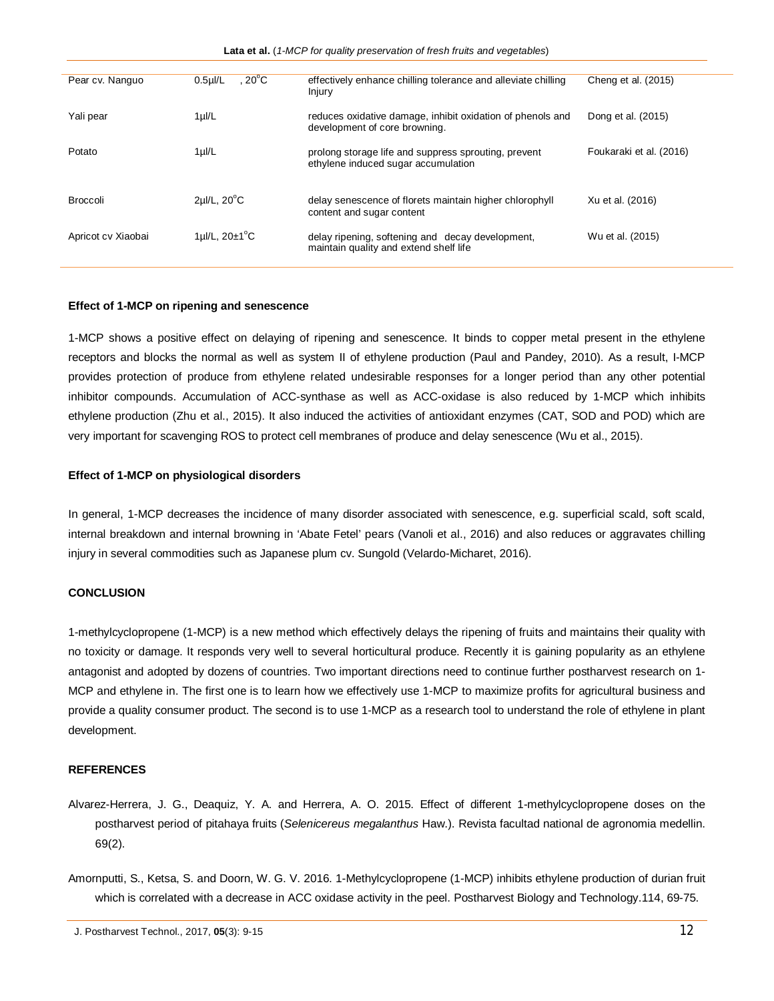**Lata et al.** (*1-MCP for quality preservation of fresh fruits and vegetables*)

| Pear cv. Nanguo    | . 20°C<br>$0.5$ µ $/L$     | effectively enhance chilling tolerance and alleviate chilling<br>Injury                     | Cheng et al. (2015)     |
|--------------------|----------------------------|---------------------------------------------------------------------------------------------|-------------------------|
| Yali pear          | $1 \mu l/L$                | reduces oxidative damage, inhibit oxidation of phenols and<br>development of core browning. | Dong et al. (2015)      |
| Potato             | $1 \mu l/L$                | prolong storage life and suppress sprouting, prevent<br>ethylene induced sugar accumulation | Foukaraki et al. (2016) |
| <b>Broccoli</b>    | $2\mu$ I/L, $20^{\circ}$ C | delay senescence of florets maintain higher chlorophyll<br>content and sugar content        | Xu et al. (2016)        |
| Apricot cv Xiaobai | 1µl/L, $20\pm1^{\circ}$ C  | delay ripening, softening and decay development,<br>maintain quality and extend shelf life  | Wu et al. (2015)        |

## **Effect of 1-MCP on ripening and senescence**

1-MCP shows a positive effect on delaying of ripening and senescence. It binds to copper metal present in the ethylene receptors and blocks the normal as well as system II of ethylene production (Paul and Pandey, 2010). As a result, I-MCP provides protection of produce from ethylene related undesirable responses for a longer period than any other potential inhibitor compounds. Accumulation of ACC-synthase as well as ACC-oxidase is also reduced by 1-MCP which inhibits ethylene production (Zhu et al., 2015). It also induced the activities of antioxidant enzymes (CAT, SOD and POD) which are very important for scavenging ROS to protect cell membranes of produce and delay senescence (Wu et al., 2015).

## **Effect of 1-MCP on physiological disorders**

In general, 1-MCP decreases the incidence of many disorder associated with senescence, e.g. superficial scald, soft scald, internal breakdown and internal browning in 'Abate Fetel' pears (Vanoli et al., 2016) and also reduces or aggravates chilling injury in several commodities such as Japanese plum cv. Sungold (Velardo-Micharet, 2016).

#### **CONCLUSION**

1-methylcyclopropene (1-MCP) is a new method which effectively delays the ripening of fruits and maintains their quality with no toxicity or damage. It responds very well to several horticultural produce. Recently it is gaining popularity as an ethylene antagonist and adopted by dozens of countries. Two important directions need to continue further postharvest research on 1- MCP and ethylene in. The first one is to learn how we effectively use 1-MCP to maximize profits for agricultural business and provide a quality consumer product. The second is to use 1-MCP as a research tool to understand the role of ethylene in plant development.

#### **REFERENCES**

- Alvarez-Herrera, J. G., Deaquiz, Y. A. and Herrera, A. O. 2015. Effect of different 1-methylcyclopropene doses on the postharvest period of pitahaya fruits (*Selenicereus megalanthus* Haw.). Revista facultad national de agronomia medellin. 69(2).
- Amornputti, S., Ketsa, S. and Doorn, W. G. V. 2016. 1-Methylcyclopropene (1-MCP) inhibits ethylene production of durian fruit which is correlated with a decrease in ACC oxidase activity in the peel. Postharvest Biology and Technology.114, 69-75.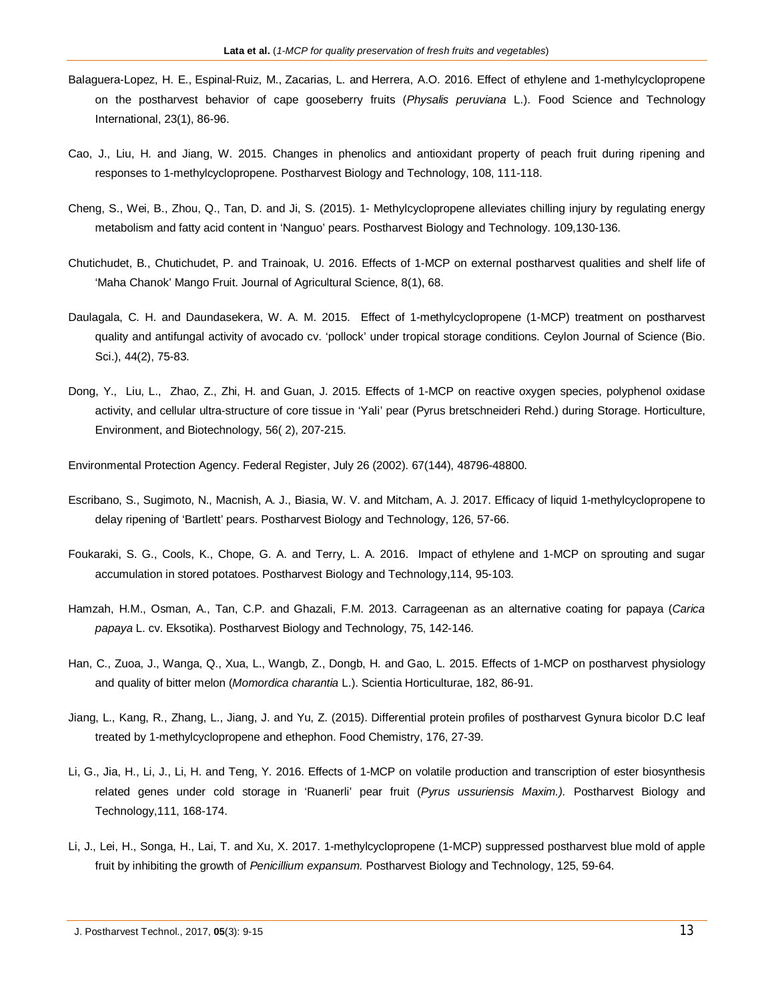- Balaguera-Lopez, H. E., Espinal-Ruiz, M., Zacarias, L. and Herrera, A.O. 2016. Effect of ethylene and 1-methylcyclopropene on the postharvest behavior of cape gooseberry fruits (*Physalis peruviana* L.). Food Science and Technology International, 23(1), 86-96.
- Cao, J., Liu, H. and Jiang, W. 2015. Changes in phenolics and antioxidant property of peach fruit during ripening and responses to 1-methylcyclopropene. Postharvest Biology and Technology, 108, 111-118.
- Cheng, S., Wei, B., Zhou, Q., Tan, D. and Ji, S. (2015). 1- Methylcyclopropene alleviates chilling injury by regulating energy metabolism and fatty acid content in 'Nanguo' pears. Postharvest Biology and Technology. 109,130-136.
- Chutichudet, B., Chutichudet, P. and Trainoak, U. 2016. Effects of 1-MCP on external postharvest qualities and shelf life of 'Maha Chanok' Mango Fruit. Journal of Agricultural Science, 8(1), 68.
- Daulagala, C. H. and Daundasekera, W. A. M. 2015. Effect of 1-methylcyclopropene (1-MCP) treatment on postharvest quality and antifungal activity of avocado cv. 'pollock' under tropical storage conditions. Ceylon Journal of Science (Bio. Sci.), 44(2), 75-83.
- Dong, Y., Liu, L., Zhao, Z., Zhi, H. and Guan, J. 2015. Effects of 1-MCP on reactive oxygen species, polyphenol oxidase activity, and cellular ultra-structure of core tissue in 'Yali' pear (Pyrus bretschneideri Rehd.) during Storage. Horticulture, Environment, and Biotechnology, 56( 2), 207-215.

Environmental Protection Agency. Federal Register, July 26 (2002). 67(144), 48796-48800.

- Escribano, S., Sugimoto, N., Macnish, A. J., Biasia, W. V. and Mitcham, A. J. 2017. Efficacy of liquid 1-methylcyclopropene to delay ripening of 'Bartlett' pears. Postharvest Biology and Technology, 126, 57-66.
- Foukaraki, S. G., Cools, K., Chope, G. A. and Terry, L. A. 2016. Impact of ethylene and 1-MCP on sprouting and sugar accumulation in stored potatoes. Postharvest Biology and Technology,114, 95-103.
- Hamzah, H.M., Osman, A., Tan, C.P. and Ghazali, F.M. 2013. Carrageenan as an alternative coating for papaya (*Carica papaya* L. cv. Eksotika). Postharvest Biology and Technology, 75, 142-146.
- Han, C., Zuoa, J., Wanga, Q., Xua, L., Wangb, Z., Dongb, H. and Gao, L. 2015. Effects of 1-MCP on postharvest physiology and quality of bitter melon (*Momordica charantia* L.). Scientia Horticulturae, 182, 86-91.
- Jiang, L., Kang, R., Zhang, L., Jiang, J. and Yu, Z. (2015). Differential protein profiles of postharvest Gynura bicolor D.C leaf treated by 1-methylcyclopropene and ethephon. Food Chemistry, 176, 27-39.
- Li, G., Jia, H., Li, J., Li, H. and Teng, Y. 2016. Effects of 1-MCP on volatile production and transcription of ester biosynthesis related genes under cold storage in 'Ruanerli' pear fruit (*Pyrus ussuriensis Maxim.).* Postharvest Biology and Technology,111, 168-174.
- Li, J., Lei, H., Songa, H., Lai, T. and Xu, X. 2017. 1-methylcyclopropene (1-MCP) suppressed postharvest blue mold of apple fruit by inhibiting the growth of *Penicillium expansum.* Postharvest Biology and Technology, 125, 59-64.

J. Postharvest Technol., 2017, **05**(3): 9-15 13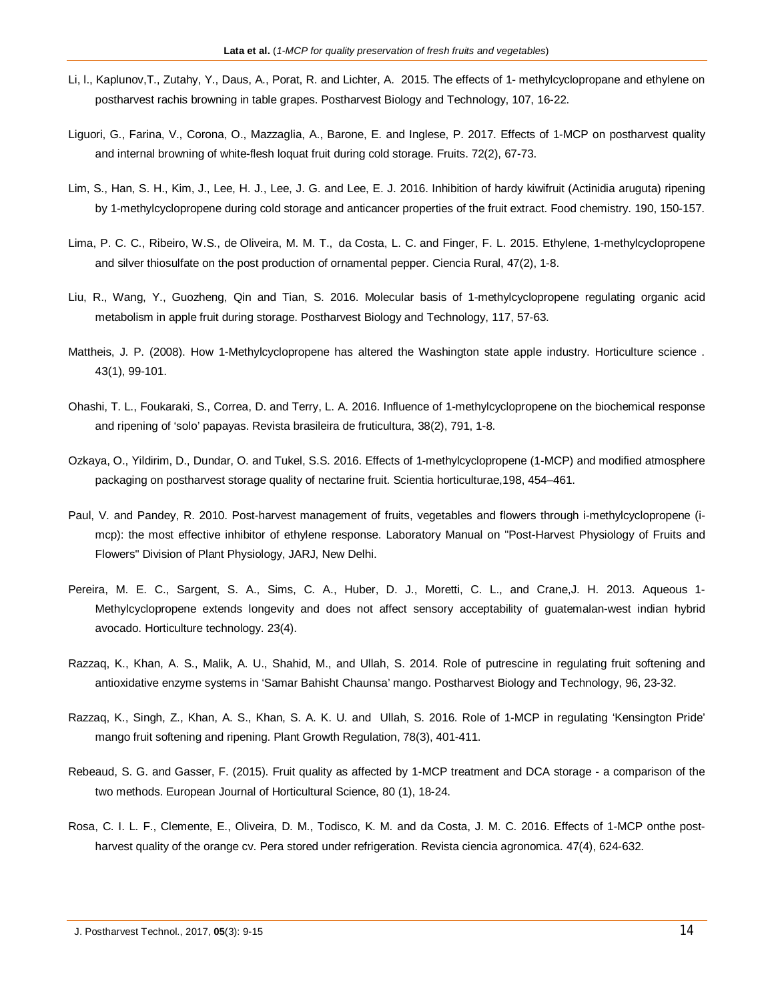- Li, l., Kaplunov,T., Zutahy, Y., Daus, A., Porat, R. and Lichter, A. 2015. The effects of 1- methylcyclopropane and ethylene on postharvest rachis browning in table grapes. Postharvest Biology and Technology, 107, 16-22.
- Liguori, G., Farina, V., Corona, O., Mazzaglia, A., Barone, E. and Inglese, P. 2017. Effects of 1-MCP on postharvest quality and internal browning of white-flesh loquat fruit during cold storage. Fruits. 72(2), 67-73.
- Lim, S., Han, S. H., Kim, J., Lee, H. J., Lee, J. G. and Lee, E. J. 2016. Inhibition of hardy kiwifruit (Actinidia aruguta) ripening by 1-methylcyclopropene during cold storage and anticancer properties of the fruit extract. Food chemistry. 190, 150-157.
- Lima, P. C. C., Ribeiro, W.S., de Oliveira, M. M. T., da Costa, L. C. and Finger, F. L. 2015. Ethylene, 1-methylcyclopropene and silver thiosulfate on the post production of ornamental pepper. Ciencia Rural, 47(2), 1-8.
- Liu, R., Wang, Y., Guozheng, Qin and Tian, S. 2016. Molecular basis of 1-methylcyclopropene regulating organic acid metabolism in apple fruit during storage. Postharvest Biology and Technology, 117, 57-63.
- Mattheis, J. P. (2008). How 1-Methylcyclopropene has altered the Washington state apple industry. Horticulture science . 43(1), 99-101.
- Ohashi, T. L., Foukaraki, S., Correa, D. and Terry, L. A. 2016. Influence of 1-methylcyclopropene on the biochemical response and ripening of 'solo' papayas. Revista brasileira de fruticultura, 38(2), 791, 1-8.
- Ozkaya, O., Yildirim, D., Dundar, O. and Tukel, S.S. 2016. Effects of 1-methylcyclopropene (1-MCP) and modified atmosphere packaging on postharvest storage quality of nectarine fruit. Scientia horticulturae,198, 454–461.
- Paul, V. and Pandey, R. 2010. Post-harvest management of fruits, vegetables and flowers through i-methylcyclopropene (imcp): the most effective inhibitor of ethylene response. Laboratory Manual on "Post-Harvest Physiology of Fruits and Flowers" Division of Plant Physiology, JARJ, New Delhi.
- Pereira, M. E. C., Sargent, S. A., Sims, C. A., Huber, D. J., Moretti, C. L., and Crane,J. H. 2013. Aqueous 1- Methylcyclopropene extends longevity and does not affect sensory acceptability of guatemalan-west indian hybrid avocado. Horticulture technology. 23(4).
- Razzaq, K., Khan, A. S., Malik, A. U., Shahid, M., and Ullah, S. 2014. Role of putrescine in regulating fruit softening and antioxidative enzyme systems in 'Samar Bahisht Chaunsa' mango. Postharvest Biology and Technology, 96, 23-32.
- Razzaq, K., Singh, Z., Khan, A. S., Khan, S. A. K. U. and Ullah, S. 2016. Role of 1-MCP in regulating 'Kensington Pride' mango fruit softening and ripening. Plant Growth Regulation, 78(3), 401-411.
- Rebeaud, S. G. and Gasser, F. (2015). Fruit quality as affected by 1-MCP treatment and DCA storage a comparison of the two methods. European Journal of Horticultural Science, 80 (1), 18-24.
- Rosa, C. I. L. F., Clemente, E., Oliveira, D. M., Todisco, K. M. and da Costa, J. M. C. 2016. Effects of 1-MCP onthe postharvest quality of the orange cv. Pera stored under refrigeration. Revista ciencia agronomica. 47(4), 624-632.